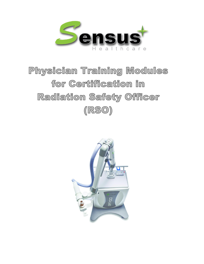

# Physician Training Modules for Certification in Radiation Safety Officer  $(\R$ 80)

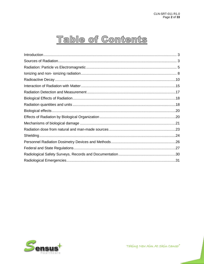## Table of Contents

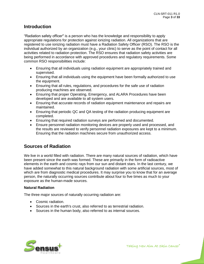## <span id="page-2-0"></span>**Introduction**

"Radiation safety officer" is a person who has the knowledge and responsibility to apply appropriate regulations for protection against ionizing radiation. All organizations that are registered to use ionizing radiation must have a Radiation Safety Officer (RSO). The RSO is the individual authorized by an organization (e.g., your clinic) to serve as the point of contact for all activities related to radiation protection. The RSO ensures that radiation safety activities are being performed in accordance with approved procedures and regulatory requirements. Some common RSO responsibilities include:

- Ensuring that all individuals using radiation equipment are appropriately trained and supervised.
- Ensuring that all individuals using the equipment have been formally authorized to use the equipment.
- Ensuring that all rules, regulations, and procedures for the safe use of radiation producing machines are observed.
- Ensuring that proper Operating, Emergency, and ALARA Procedures have been developed and are available to all system users.
- Ensuring that accurate records of radiation equipment maintenance and repairs are maintained.
- Ensuring that periodic QC and QA testing of the radiation producing equipment are completed.
- Ensuring that required radiation surveys are performed and documented.
- Ensure personnel radiation monitoring devices are properly used and processed, and the results are reviewed to verify personnel radiation exposures are kept to a minimum. Ensuring that the radiation machines secure from unauthorized access.

## <span id="page-2-1"></span>**Sources of Radiation**

We live in a world filled with radiation. There are many natural sources of radiation, which have been present since the earth was formed. These are primarily in the form of radioactive elements in the earth and cosmic rays from our sun and distant stars. In the last century, we have added somewhat to this natural background radiation with some artificial sources, most of which are from diagnostic medical procedures. It may surprise you to know that for an average person, the naturally occurring sources contribute about four to five times as much to your exposure as the human-made sources.

#### **Natural Radiation**

The three major sources of naturally occurring radiation are:

- Cosmic radiation.
- Sources in the earth's crust, also referred to as terrestrial radiation.
- Sources in the human body, also referred to as internal sources.

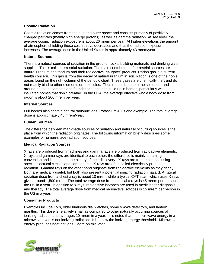#### **Cosmic Radiation**

Cosmic radiation comes from the sun and outer space and consists primarily of positively charged particles (mainly high energy protons), as well as gamma radiation. At sea level, the average cosmic radiation exposure is about 26 mrem per year. At higher elevations the amount of atmosphere shielding these cosmic rays decreases and thus the radiation exposure increases. The average dose in the United States is approximately 43 mrem/year.

#### **Natural Sources**

There are natural sources of radiation in the ground, rocks, building materials and drinking water supplies. This is called terrestrial radiation. The main contributors of terrestrial sources are natural uranium and thorium and their radioactive 'daughter' products. Radon gas is a current health concern. This gas is from the decay of natural uranium in soil. Radon is one of the noble gases found on the right column of the periodic chart. These gases are chemically inert and do not readily bind to other elements or molecules. Thus radon rises from the soil under and around house basements and foundations, and can build up in homes, particularly wellinsulated homes that don't 'breathe'. In the USA, the average effective whole body dose from radon is about 200 mrem per year.

#### **Internal Sources**

Our bodies also contain natural radionuclides. Potassium 40 is one example. The total average dose is approximately 45 mrem/year.

#### **Human Sources**

The difference between man-made sources of radiation and naturally occurring sources is the place from which the radiation originates. The following information briefly describes some examples of human-made radiation sources.

#### **Medical Radiation Sources**

X rays are produced from machines and gamma rays are produced from radioactive elements. X-rays and gamma rays are identical to each other: the difference is mainly a naming convention and is based on the history of their discovery. X-rays are from machines using special electrical circuits and components: X-rays are often called electrically produced radiation. Gamma rays on the other hand originate from radioactive elements as they decay. Both are medically useful, but both also present a potential ionizing radiation hazard. A typical radiation dose from a chest x ray is about 10 mrem while a typical CAT scan, which uses X-rays gives around 1,500 mrem. The total average dose from medical x-rays is 45 mrem per person in the US in a year. In addition to x-rays, radioactive isotopes are used in medicine for diagnosis and therapy. The total average dose from medical radioactive isotopes is 15 mrem per person in the US in a year.

#### **Consumer Products**

Examples include TV's, older luminous dial watches, some smoke detectors, and lantern mantles. This dose is relatively small as compared to other naturally occurring sources of ionizing radiation and averages 10 mrem in a year. It is noted that the microwave energy in a microwave oven is not ionizing radiation: It is below the ionizing energy threshold. Microwave energy produces heat not ions. More on this later.

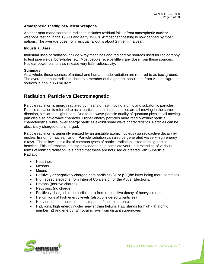#### **Atmospheric Testing of Nuclear Weapons**

Another man-made source of radiation includes residual fallout from atmospheric nuclear weapons testing in the 1950's and early 1960's. Atmospheric testing is now banned by most nations. The average dose from residual fallout is about 2 mrem in a year.

#### **Industrial Uses**

Industrial uses of radiation include x-ray machines and radioactive sources used for radiography to test pipe welds, bore-holes, etc. Most people receive little if any dose from these sources. Nuclear power plants also release very little radioactivity.

#### **Summary**

As a whole, these sources of natural and human-made radiation are referred to as background. The average annual radiation dose to a member of the general population from ALL background sources is about 360 millirem.

## <span id="page-4-0"></span>**Radiation: Particle vs Electromagnetic**

Particle radiation is energy radiated by means of fast-moving atomic and subatomic particles. Particle radiation is referred to as a 'particle beam' if the particles are all moving in the same direction, similar to a light beam. Due to the wave-particle duality of quantum physics, all moving particles also have wave character. Higher energy particles more readily exhibit particle characteristics, while lower energy particles exhibit some wave characteristics. Particles can be electrically charged or uncharged.

Particle radiation is generally emitted by an unstable atomic nucleus (via radioactive decay) by nuclear fission, or nuclear fusion. Particle radiation can also be generated via very high energy x-rays. The following is a list of common types of particle radiation, listed from lightest to heaviest. This information is being provided to help complete your understanding of various forms of ionizing radiation. It is noted that these are not used or created with Superficial Radiation:

- **•** Neutrinos
- Mesons
- **Muons**
- Positively or negatively charged beta particles ( $β$ + or  $β$ -) (the latter being more common)
- High speed electrons from Internal Conversion or the Auger Electrons.
- Protons (positive charge)
- Neutrons, (no charge)
- Positively charged alpha particles  $(\alpha)$  from radioactive decay of heavy isotopes
- $\bullet$  Helium ions at high energy levels (also considered  $\alpha$  particles)
- Heavier element nuclei (atoms stripped of their electrons)
- HZE ions: high energy nuclei heavier than helium. HZE stands for high (H) atomic number (Z) and [energy](http://en.wikipedia.org/wiki/Energy) (E) [cosmic rays from distant supernovas

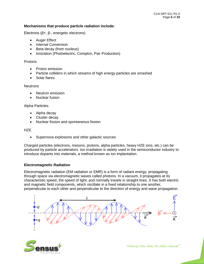#### **Mechanisms that produce particle radiation include:**

Electrons (β+, β-, energetic electrons)

- Auger Effect
- Internal Conversion
- Beta decay (from nucleus)
- Ionization (Photoelectric, Compton, Pair Production)

#### Protons

- Proton emission
- Particle colliders in which streams of high energy particles are smashed
- Solar flares

#### **Neutrons**

- Neutron emission
- Nuclear fusion

#### Alpha Particles

- Alpha decay
- Cluster decay
- Nuclear fission and spontaneous fission

#### **HZE**

Supernova explosions and other galactic sources

Charged particles (electrons, mesons, protons, alpha particles, heavy HZE ions, etc.) can be produced by particle accelerators. Ion irradiation is widely used in the semiconductor industry to introduce dopants into materials, a method known as ion implantation.

#### **Electromagnetic Radiation**

Electromagnetic radiation (EM radiation or EMR) is a form of radiant energy, propagating through space via electromagnetic waves called photons. In a vacuum, it propagates at its characteristic speed, the speed of light; and normally travels in straight lines. It has both electric and magnetic field components, which oscillate in a fixed relationship to one another, perpendicular to each other and perpendicular to the direction of energy and wave propagation.

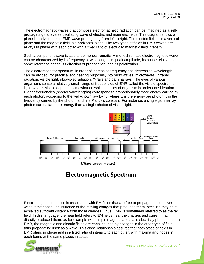The electromagnetic waves that compose electromagnetic radiation can be imagined as a selfpropagating transverse oscillating wave of electric and magnetic fields. This diagram shows a plane linearly polarized EMR wave propagating from left to right. The electric field is in a vertical plane and the magnetic field in a horizontal plane. The two types of fields in EMR waves are always in phase with each other with a fixed ratio of electric to magnetic field intensity.

Such a component wave is said to be monochromatic. A monochromatic electromagnetic wave can be characterized by its frequency or wavelength, its peak amplitude, its phase relative to some reference phase, its direction of propagation, and its polarization.

The electromagnetic spectrum, in order of increasing frequency and decreasing wavelength, can be divided, for practical engineering purposes, into radio waves, microwaves, infrared radiation, visible light, ultraviolet radiation, X-rays and gamma rays. The eyes of various organisms sense a relatively small range of frequencies of EMR called the visible spectrum or light; what is visible depends somewhat on which species of organism is under consideration. Higher frequencies (shorter wavelengths) correspond to proportionately more energy carried by each photon, according to the well-known law E=hν, where E is the energy per photon, ν is the frequency carried by the photon, and h is Planck's constant. For instance, a single gamma ray photon carries far more energy than a single photon of visible light.



## **Electromagnetic Spectrum**

Electromagnetic radiation is associated with EM fields that are free to propagate themselves without the continuing influence of the moving charges that produced them, because they have achieved sufficient distance from those charges. Thus, EMR is sometimes referred to as the far field. In this language, the near field refers to EM fields near the charges and current that directly produced them, as for example with simple magnets and static electricity phenomena. In EMR, the magnetic and electric fields are each induced by changes in the other type of field, thus propagating itself as a wave. This close relationship assures that both types of fields in EMR stand in phase and in a fixed ratio of intensity to each other, with maxima and nodes in each found at the same places in space.

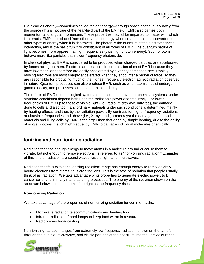EMR carries energy—sometimes called radiant energy—through space continuously away from the source (this is not true of the near-field part of the EM field). EMR also carries both momentum and angular momentum. These properties may all be imparted to matter with which it interacts. EMR is produced from other types of energy when created, and it is converted to other types of energy when it is destroyed. The photon is the quantum of the electromagnetic interaction, and is the basic "unit" or constituent of all forms of EMR. The quantum nature of light becomes more apparent at high frequencies (thus high photon energy). Such photons behave more like particles than lower-frequency photons do.

In classical physics, EMR is considered to be produced when charged particles are accelerated by forces acting on them. Electrons are responsible for emission of most EMR because they have low mass, and therefore are easily accelerated by a variety of mechanisms. Rapidly moving electrons are most sharply accelerated when they encounter a region of force, so they are responsible for producing much of the highest frequency electromagnetic radiation observed in nature. Quantum processes can also produce EMR, such as when atomic nuclei undergo gamma decay, and processes such as neutral pion decay.

The effects of EMR upon biological systems (and also too many other chemical systems, under standard conditions) depend both upon the radiation's power and frequency. For lower frequencies of EMR up to those of visible light (i.e., radio, microwave, infrared), the damage done to cells and also too many ordinary materials under such conditions is determined mainly by heating effects, and thus by the radiation power. By contrast, for higher frequency radiations at ultraviolet frequencies and above (i.e., X-rays and gamma rays) the damage to chemical materials and living cells by EMR is far larger than that done by simple heating, due to the ability of single photons in such high frequency EMR to damage individual molecules chemically.

## <span id="page-7-0"></span>**Ionizing and non- ionizing radiation**

Radiation that has enough energy to move atoms in a molecule around or cause them to vibrate, but not enough to remove electrons, is referred to as "non-ionizing radiation." Examples of this kind of radiation are sound waves, visible light, and microwaves.

Radiation that falls within the ionizing radiation" range has enough energy to remove tightly bound electrons from atoms, thus creating ions. This is the type of radiation that people usually think of as 'radiation.' We take advantage of its properties to generate electric power, to kill cancer cells, and in many manufacturing processes. The energy of the radiation shown on the spectrum below increases from left to right as the frequency rises.

#### **Non-ionizing Radiation**

We take advantage of the properties of non-ionizing radiation for common tasks:

- Microwave radiation telecommunications and heating food.
- Infrared radiation infrared lamps to keep food warm in restaurants.
- Radio waves broadcasting.

Non-ionizing radiation ranges from extremely low frequency radiation, shown on the far left through the audible, microwave, and visible portions of the spectrum into the ultraviolet range.

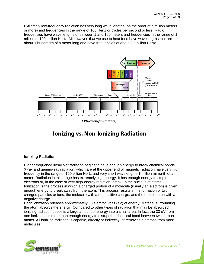Extremely low-frequency radiation has very long wave lengths (on the order of a million meters or more) and frequencies in the range of 100 Hertz or cycles per second or less. Radio frequencies have wave lengths of between 1 and 100 meters and frequencies in the range of 1 million to 100 million Hertz. Microwaves that we use to heat food have wavelengths that are about 1 hundredth of a meter long and have frequencies of about 2.5 billion Hertz.



## **Ionizing vs. Non-Ionizing Radiation**

#### **Ionizing Radiation**

Higher frequency ultraviolet radiation begins to have enough energy to break chemical bonds. X-ray and gamma ray radiation, which are at the upper end of magnetic radiation have very high frequency in the range of 100 billion Hertz and very short wavelengths 1 million millionth of a meter. Radiation in this range has extremely high energy. It has enough energy to strip off electrons or, in the case of very high-energy radiation, break up the nucleus of atoms. Ionization is the process in which a charged portion of a molecule (usually an electron) is given enough energy to break away from the atom. This process results in the formation of two charged particles or ions: the molecule with a net positive charge, and the free electron with a negative charge.

Each ionization releases approximately 33 electron volts (eV) of energy. Material surrounding the atom absorbs the energy. Compared to other types of radiation that may be absorbed, ionizing radiation deposits a large amount of energy into a small area. In fact, the 33 eV from one ionization is more than enough energy to disrupt the chemical bond between two carbon atoms. All ionizing radiation is capable, directly or indirectly, of removing electrons from most molecules.

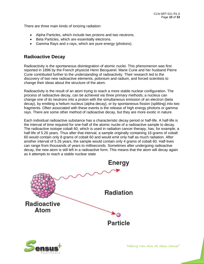There are three main kinds of ionizing radiation:

- Alpha Particles, which include two protons and two neutrons.
- Beta Particles, which are essentially electrons.
- Gamma Rays and x-rays, which are pure energy (photons).

## <span id="page-9-0"></span>**Radioactive Decay**

Radioactivity is the spontaneous disintegration of atomic nuclei. This phenomenon was first reported in 1896 by the French physicist Henri Becquerel. Marie Curie and her husband Pierre Curie contributed further to the understanding of radioactivity. Their research led to the discovery of two new radioactive elements, polonium and radium, and forced scientists to change their ideas about the structure of the atom.

Radioactivity is the result of an atom trying to reach a more stable nuclear configuration. The process of radioactive decay, can be achieved via three primary methods; a nucleus can change one of its neutrons into a proton with the simultaneous emission of an electron (beta decay), by emitting a helium nucleus (alpha decay), or by spontaneous fission (splitting) into two fragments. Often associated with these events is the release of high energy photons or gamma rays. There are some other method of radioactive decay, but they are more exotic in nature.

Each individual radioactive substance has a characteristic decay period or half-life. A half-life is the interval of time required for one-half of the atomic nuclei of a radioactive sample to decay. The radioactive isotope cobalt 60, which is used in radiation cancer therapy, has, for example, a half-life of 5.26 years. Thus after that interval, a sample originally containing 16 grams of cobalt 60 would contain only 8 grams of cobalt 60 and would emit only half as much radiation. After another interval of 5.26 years, the sample would contain only 4 grams of cobalt 60. Half-lives can range from thousands of years to milliseconds. Sometimes after undergoing radioactive decay, the new atom is still left in a radioactive form. This means that the atom will decay again as it attempts to reach a stable nuclear state



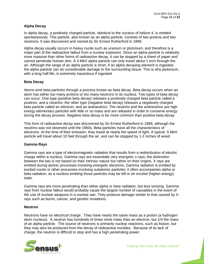#### **Alpha Decay**

In alpha decay, a positively charged particle, identical to the nucleus of helium 4, is emitted spontaneously. This particle, also known as an alpha particle, consists of two protons and two neutrons. It was discovered and named by Sir Ernest Rutherford in 1899.

Alpha decay usually occurs in heavy nuclei such as uranium or plutonium, and therefore is a major part of the radioactive fallout from a nuclear explosion. Since an alpha particle is relatively more massive than other forms of radioactive decay, it can be stopped by a sheet of paper and cannot penetrate human skin. A 4 MeV alpha particle can only travel about 1 inch through the air. Although the range of an alpha particle is short, if an alpha decaying element is ingested, the alpha particle can do considerable damage to the surrounding tissue. This is why plutonium, with a long half-life, is extremely hazardous if ingested.

#### **Beta Decay**

Atoms emit beta particles through a process known as beta decay. Beta decay occurs when an atom has either too many protons or too many neutrons in its nucleus. Two types of beta decay can occur. One type (positive beta decay) releases a positively charged beta particle called a positron, and a neutrino; the other type (negative beta decay) releases a negatively charged beta particle called an electron, and an antineutrino. The neutrino and the antineutrino are high energy elementary particles with little or no mass and are released in order to conserve energy during the decay process. Negative beta decay is far more common than positive beta decay.

This form of radioactive decay was discovered by Sir Ernest Rutherford in 1899, although the neutrino was not observed until the 1960s. Beta particles have all the characteristics of electrons. At the time of their emission, they travel at nearly the speed of light. A typical .5 MeV particle will travel about 10 feet through the air, and can be stopped by 1-2 inches of wood.

#### **Gamma Rays**

Gamma rays are a type of electromagnetic radiation that results from a redistribution of electric charge within a nucleus. Gamma rays are essentially very energetic x-rays; the distinction between the two is not based on their intrinsic nature but rather on their origins. X rays are emitted during atomic processes involving energetic electrons. Gamma radiation is emitted by excited nuclei or other processes involving subatomic particles; it often accompanies alpha or beta radiation, as a nucleus emitting those particles may be left in an excited (higher-energy) state.

Gamma rays are more penetrating than either alpha or beta radiation, but less ionizing. Gamma rays from nuclear fallout would probably cause the largest number of casualties in the event of the use of nuclear weapons in a nuclear war. They produce damage similar to that caused by Xrays such as burns, cancer, and genetic mutations.

#### **Neutron**

Neutrons have no electrical charge. They have nearly the same mass as a proton (a hydrogen atom nucleus). A neutron has hundreds of times more mass than an electron, but 1/4 the mass of an alpha particle. The source of neutrons is primarily nuclear reactions, such as fission, but they may also be produced from the decay of radioactive nuclides. Because of its lack of charge, the neutron is difficult to stop and has a high penetrating power.

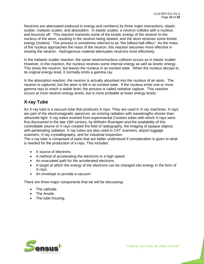Neutrons are attenuated (reduced in energy and numbers) by three major interactions, elastic scatter, inelastic scatter, and absorption. In elastic scatter, a neutron collides with a nucleus and bounces off. This reaction transmits some of the kinetic energy of the neutron to the nucleus of the atom, resulting in the neutron being slowed, and the atom receives some kinetic energy (motion). This process is sometimes referred to as "the billiard ball effect." As the mass of the nucleus approaches the mass of the neutron, this reaction becomes more effective in slowing the neutron. Hydrogenous material attenuates neutrons most effectively.

In the inelastic scatter reaction, the same neutron/nucleus collision occurs as in elastic scatter. However, in this reaction, the nucleus receives some internal energy as well as kinetic energy. This slows the neutron, but leaves the nucleus in an excited state. When the nucleus decays to its original energy level, it normally emits a gamma ray.

In the absorption reaction, the neutron is actually absorbed into the nucleus of an atom. The neutron is captured, but the atom is left in an excited state. If the nucleus emits one or more gamma rays to reach a stable level, the process is called radiative capture. This reaction occurs at most neutron energy levels, but is more probable at lower energy levels.

## **X-ray Tube**

An X-ray tube is a vacuum tube that produces X-rays. They are used in X-ray machines. X-rays are part of the electromagnetic spectrum, an ionizing radiation with wavelengths shorter than ultraviolet light. X-ray tubes evolved from experimental Crookes tubes with which X-rays were first discovered in the late 19th century, by Wilhelm Roentgen and the availability of this controllable source of X-rays created the field of radiography, the imaging of opaque objects with penetrating radiation. X-ray tubes are also used in CAT scanners, airport luggage scanners, X-ray crystallography, and for industrial inspection.

The x-ray tube is composed of parts that are better understood if consideration is given to what is needed for the production of x-rays. This includes:

- A source of electrons.
- A method of accelerating the electrons to a high speed.
- An evacuated path for the accelerated electrons.
- A target at which the energy of the electrons can be changed into energy in the form of X-rays.
- An envelope to provide a vacuum.

There are three major components that we will be discussing:

- The cathode.
- The Anode.
- The tube housing.

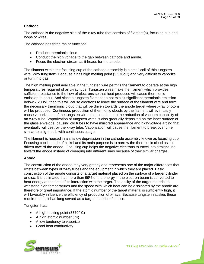#### **Cathode**

The cathode is the negative side of the x-ray tube that consists of filament(s), focusing cup and loops of wires.

The cathode has three major functions:

- Produce thermionic cloud.
- Conduct the high voltage to the gap between cathode and anode.
- Focus the electron stream as it heads for the anode.

The filament within the focusing cup of the cathode assembly is a small coil of thin tungsten wire. Why tungsten? Because it has high melting point (3,370oC) and very difficult to vaporize or turn into gas.

The high melting point available in the tungsten wire permits the filament to operate at the high temperatures required of an x-ray tube. Tungsten wires make the filament which provides sufficient resistance to the flow of electrons so that heat produced will cause thermionic emission to occur. And since a tungsten filament do not exhibit significant thermionic emission below 2,200oC then this will cause electrons to leave the surface of the filament wire and form the necessary thermionic cloud that will be driven towards the anode target where x-ray photons will be produced. Continuous production of thermionic clouds by the filament will eventually cause vaporization of the tungsten wires that contribute to the reduction of vacuum capability of an x-ray tube. Vaporization of tungsten wires is also gradually deposited on the inner surface of the glass envelope, causing old tubes to have mirrored appearance and high-voltage arcing that eventually will destroy the x-ray tube. Vaporization will cause the filament to break over time similar to a light bulb with continuous usage.

The filament is housed in a shallow depression in the cathode assembly known as focusing cup. Focusing cup is made of nickel and its main purpose is to narrow the thermionic cloud as it is driven toward the anode. Focusing cup helps the negative electrons to travel into straight line toward the anode instead of diverging into different lines because of their similar charges.

#### **Anode**

The construction of the anode may vary greatly and represents one of the major differences that exists between types of x-ray tubes and the equipment in which they are placed. Basic construction of the anode consists of a target material placed on the surface of a larger cylinder or disc. It is estimated that more than 99% of the energy in the electron beam is converted to heat energy at the time of its interaction with the target. The ability of the target material to withstand high temperatures and the speed with which heat can be dissipated by the anode are therefore of great importance. If the atomic number of the target material is sufficiently high, it will favorably influence the efficiency of production of x-rays. Because tungsten satisfies these requirements, it has long served as a target material of choice.

Tungsten has:

- A high melting point  $(3370^{\circ} \text{ C})$
- A high atomic number (74)
- A low tendency to vaporize
- Good heat conductivity

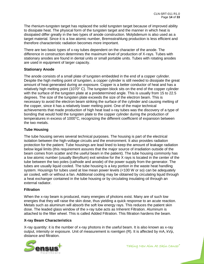The rhenium-tungsten target has replaced the solid tungsten target because of improved ability to dissipate heat. The physical form of the tungsten target and the manner in which heat is dissipated differ greatly in the two types of anode construction. Molybdenum is also used as a target material. Since it is a low atomic number, Bremsstrahlung production is less efficient and therefore characteristic radiation becomes more important.

There are two basic types of x-ray tubes dependent on the character of the anode. The difference in construction determines the maximum level of production of X-rays. Tubes with stationary anodes are found in dental units or small portable units. Tubes with rotating anodes are used in equipment of larger capacity.

#### **Stationary Anode**

The anode consists of a small plate of tungsten embedded in the end of a copper cylinder. Despite the high melting point of tungsten, a copper cylinder is still needed to dissipate the great amount of heat generated during an exposure. Copper is a better conductor of heat and has a relatively high melting point (1070° C). The tungsten block sits on the end of the copper cylinder with the surface of the tungsten plate at a predetermined angle. This is usually from 15 to 22.5 degrees. The size of the tungsten plate exceeds the size of the electron beam. This is necessary to avoid the electron beam striking the surface of the cylinder and causing melting of the copper, since it has a relatively lower melting point. One of the major technical achievements that made production of high heat load x-ray tubes was the discovery of a type of bonding that would hold the tungsten plate to the copper cylinder during the production of temperatures in excess of 1000°C, recognizing the different coefficient of expansion between the two metals.

#### **Tube Housing**

The tube housing serves several technical purposes. The housing is part of the electrical isolation between the high-voltage circuits and the environment. It also provides radiation protection for the patient. Tube housings are lead lined to keep the amount of leakage radiation below legal limits (this requirement assures that the major source of irradiation outside of the beam comes from scatter and the useful beam in the patient). The tube housing commonly has a low atomic number (usually Beryllium) exit window for the X rays is located in the center of the tube between the two poles (cathode and anode) of the power supply from the generator. The tubes are usually liquid cooled. The tube housing is a key portion in the waste heat handling system. Housings for tubes used at low mean power levels (<100 W or so) can be adequately air cooled, with or without a fan. Additional cooling may be obtained by circulating liquid through a heat exchanger contained in the tube housing or by circulating insulating oil through an external radiator.

#### **Filtration**

When the x-ray beam is produced, many energies of photons exist. Many are of such low energies that they will raise the skin dose, thus yielding a quick response to an acute reaction. Metals such as aluminum will absorb the soft low energy rays. This reduces the patient skin dose. The leaded glass window of the x-ray tube acts as Inherent Filtration. Aluminum is attached to the filter wheel. This is called Added Filtration. This filtration hardens the beam.

#### **X-ray Beam Characteristics**

X-ray quantity: it is the number of x-ray photons in the useful beam. It is also known as x-ray output, intensity or exposure. Unit of measurement is roentgen (R). It is affected by mA, kVp, distance and filtration.

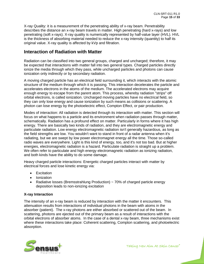X-ray Quality: it is a measurement of the penetrating ability of x-ray beam. Penetrability describes the distance an x-ray beam travels in matter. High penetrating (hard x-rays) and low penetrating (soft x-rays). X-ray quality is numerically represented by half-value layer (HVL). HVL is the thickness of absorbing material needed to reduce the x-ray intensity (quantity) to half its original value. X-ray quality is affected by kVp and filtration.

## <span id="page-14-0"></span>**Interaction of Radiation with Matter**

Radiation can be classified into two general groups, charged and uncharged; therefore, it may be expected that interactions with matter fall into two general types. Charged particles directly ionize the media through which they pass, while uncharged particles and photons can cause ionization only indirectly or by secondary radiation.

A moving charged particle has an electrical field surrounding it, which interacts with the atomic structure of the medium through which it is passing. This interaction decelerates the particle and accelerates electrons in the atoms of the medium. The accelerated electrons may acquire enough energy to escape from the parent atom. This process, whereby radiation "strips" off orbital electrons, is called ionization. Uncharged moving particles have no electrical field, so they can only lose energy and cause ionization by such means as collisions or scattering. A photon can lose energy by the photoelectric effect, Compton Effect, or pair production.

Modes of interaction: All radiation is detected through its interaction with matter. This section will focus on what happens to a particle and its environment when radiation passes through matter, schematically. Radiation has a profound effect on matter. Particularly in forms where it has high energy. There are basically two kinds of radiation, and they are electromagnetic energy and particulate radiation. Low energy electromagnetic radiation isn't generally hazardous, as long as the field strengths are low. You wouldn't want to stand in front of a radar antenna when it's radiating, but we are swept by low power electromagnet energy all the time. Those so-called radio waves are everywhere. Light is this kind of energy, too, and it's not too bad. But at higher energies, electromagnetic radiation is a hazard. Particulate radiation is straight up a problem. We often refer to particulate and high energy electromagnetic radiation as ionizing radiation, and both kinds have the ability to do some damage.

Heavy charged particle interactions: Energetic charged particles interact with matter by electrical forces and lose kinetic energy via:

- Excitation
- Ionization
- Radiative losses (Bremsstrahlung Production)  $\sim$  70% of charged particle energy deposition leads to non-ionizing excitation

#### **X-ray Interaction**

The intensity of an x-ray beam is reduced by interaction with the matter it encounters. This attenuation results from interactions of individual photons in the beam with atoms in the absorber (patient). The x-ray photons are either absorbed or scattered out of the beam. In scattering, photons are ejected out of the primary beam as a result of interactions with the orbital electrons of absorber atoms. In the case of a dental x-ray beam, three mechanisms exist where these interactions take place: Coherent scattering, Compton scattering, and photoelectric absorption.

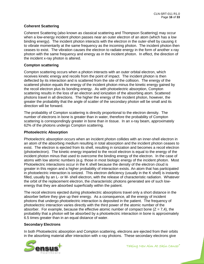#### **Coherent Scattering**

Coherent Scattering (also known as classical scattering and Thompson Scattering) may occur when a low-energy incident photon passes near an outer electron of an atom (which has a low binding energy). The incident photon interacts with the electron in the outer-shell by causing it to vibrate momentarily at the same frequency as the incoming photon. The incident photon then ceases to exist. The vibration causes the electron to radiate energy in the form of another x-ray photon with the same frequency and energy as in the incident photon. In effect, the direction of the incident x-ray photon is altered.

#### **Compton scattering**

Compton scattering occurs when a photon interacts with an outer orbital electron, which receives kinetic energy and recoils from the point of impact. The incident photon is then deflected by its interaction and is scattered from the site of the collision. The energy of the scattered photon equals the energy of the incident photon minus the kinetic energy gained by the recoil electron plus its bonding energy. As with photoelectric absorption, Compton scattering results in the loss of an electron and ionization of the absorbing atom. Scattered photons travel in all directions. The higher the energy of the incident photon, however, the greater the probability that the angle of scatter of the secondary photon will be small and its direction will be forward.

The probability of Compton scattering is directly proportional to the electron density. The number of electrons in bone is greater than in water, therefore the probability of Compton scattering is correspondingly greater in bone than in tissue. In an x-ray beam, approximately 62% of the photons undergo Compton scattering.

#### **Photoelectric Absorption**

Photoelectric absorption occurs when an incident photon collides with an inner-shell electron in an atom of the absorbing medium resulting in total absorption and the incident photon ceases to exist. The electron is ejected from its shell, resulting in ionization and becomes a recoil electron (photoelectron). The kinetic energy imparted to the recoil electron is equal to the energy of the incident photon minus that used to overcome the binding energy of the electron. In the case of atoms with low atomic numbers (e.g. those in most biologic energy of the incident photon. Most Photoelectric interactions occur in the K shell because the density of the electron cloud is greater in this region and a higher probability of interaction exists. An atom that has participated in photoelectric interaction is ionized. This electron deficiency (usually in the K shell) is instantly filled, usually by an L- or M- shell electron, with the release of characteristic radiation. Whatever the orbit of the replacement electron, the characteristic photons generated are of such lowenergy that they are absorbed superficially within the patient.

The recoil electrons ejected during photoelectric absorptions travel only a short distance in the absorber before they give up their energy. As a consequence, all the energy of incident photons that undergo photoelectric interaction is deposited in the patient. The frequency of photoelectric interaction varies directly with the third power of the atomic number of the absorber. For example, because the effective atomic number of compact bone  $(Z = 7,4)$ , the probability that a photon will be absorbed by a photoelectric interaction in bone is approximately 6.5 times greater than in an equal distance of water.

#### **Secondary Electrons**

In both Photoelectric absorption and Compton scattering, electrons are ejected from their orbits in the absorbing material after interaction with x-ray photons. These secondary electrons give

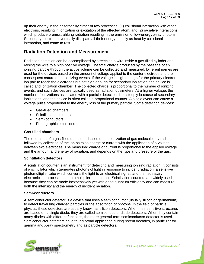up their energy in the absorber by either of two processes: (1) collisional interaction with other electrons, resulting in ionization or excitation of the affected atom, and (2) radiative interactions, which produce bremsstrahlung radiation resulting in the emission of low-energy x-ray photons. Secondary electrons eventually dissipate all their energy, mostly as heat by collisional interaction, and come to rest.

## <span id="page-16-0"></span>**Radiation Detection and Measurement**

Radiation detection can be accomplished by stretching a wire inside a gas-filled cylinder and raising the wire to a high positive voltage. The total charge produced by the passage of an ionizing particle through the active volume can be collected and measured. Different names are used for the devices based on the amount of voltage applied to the center electrode and the consequent nature of the ionizing events. If the voltage is high enough for the primary electronion pair to reach the electrodes but not high enough for secondary ionization, the device is called and ionization chamber. The collected charge is proportional to the number of ionizing events, and such devices are typically used as radiation dosimeters. At a higher voltage, the number of ionizations associated with a particle detection rises steeply because of secondary ionizations, and the device is often called a proportional counter. A single event can cause a voltage pulse proportional to the energy loss of the primary particle. Some detection devices:

- Gas-filled chambers
- Scintillation detectors
- Semi-conductors
- Photographic emulsions

#### **Gas-filled chambers**

The operation of a gas-filled detector is based on the ionization of gas molecules by radiation, followed by collection of the ion pairs as charge or current with the application of a voltage between two electrodes. The measured charge or current is proportional to the applied voltage and the amount and energy of radiation, and depends on the type and pressure of the gas.

#### **Scintillation detectors**

A scintillation counter is an instrument for detecting and measuring ionizing radiation. It consists of a scintillator which generates photons of light in response to incident radiation, a sensitive photomultiplier tube which converts the light to an electrical signal, and the necessary electronics to process the photomultiplier tube output. Scintillation counters are widely used because they can be made inexpensively yet with good quantum efficiency and can measure both the intensity and the energy of incident radiation.

#### **Semi-conductors**

A semiconductor detector is a device that uses a semiconductor (usually silicon or germanium) to detect traversing charged particles or the absorption of photons. In the field of particle physics, these detectors are usually known as silicon detectors. When their sensitive structures are based on a single diode, they are called semiconductor diode detectors. When they contain many diodes with different functions, the more general term semiconductor detector is used. Semiconductor detectors have found broad application during recent decades, in particular for gamma and X-ray spectrometry and as particle detectors.

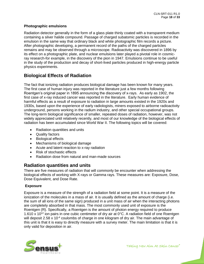#### **Photographic emulsions**

Radiation detector generally in the form of a glass plate thinly coated with a transparent medium containing a silver halide compound. Passage of charged subatomic particles is recorded in the emulsion in the same way that ordinary black and white photographic film records a picture. After photographic developing, a permanent record of the paths of the charged particles remains and may be observed through a microscope. Radioactivity was discovered in 1896 by its effect on a photographic plate, and nuclear emulsions later played a pivotal role in cosmicray research-for example, in the discovery of the pion in 1947. Emulsions continue to be useful in the study of the production and decay of short-lived particles produced in high-energy particle physics experiments.

## <span id="page-17-0"></span>**Biological Effects of Radiation**

The fact that ionizing radiation produces biological damage has been known for many years. The first case of human injury was reported in the literature just a few months following Roentgen's original paper in 1895 announcing the discovery of x-rays. As early as 1902, the first case of x-ray induced cancer was reported in the literature. Early human evidence of harmful effects as a result of exposure to radiation in large amounts existed in the 1920s and 1930s, based upon the experience of early radiologists, miners exposed to airborne radioactivity underground, persons working in the radium industry, and other special occupational groups. The long-term biological significance of smaller, repeated doses of radiation, however, was not widely appreciated until relatively recently, and most of our knowledge of the biological effects of radiation has been accumulated since World War II. The following topics will be covered:

- Radiation quantities and units
- Quality factors
- Biological effects
- Mechanisms of biological damage
- Acute and latent reaction to x-ray radiation
- Risk of stochastic effects
- Radiation dose from natural and man-made sources

## <span id="page-17-1"></span>**Radiation quantities and units**

There are five measures of radiation that will commonly be encounter when addressing the biological effects of working with X-rays or Gamma rays. These measures are: Exposure, Dose, Dose Equivalent, and Dose Rate.

#### **Exposure**

Exposure is a measure of the strength of a radiation field at some point. It is a measure of the ionization of the molecules in a mass of air. It is usually defined as the amount of charge (i.e. the sum of all ions of the same sign) produced in a unit mass of air when the interacting photons are completely absorbed in that mass. The most commonly used unit of exposure is the Roentgen (R). Specifically, a Roentgen is the amount of photon energy required to produce 1.610 x 10<sup>12</sup> ion pairs in one cubic centimeter of dry air at 0°C. A radiation field of one Roentgen will deposit 2.58 x 10<sup>-4</sup> coulombs of charge in one kilogram of dry air. The main advantage of this unit is that it is easy to directly measure with a survey meter. The main limitation is that it is only valid for deposition in air.

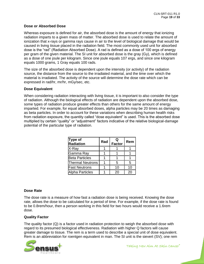#### **Dose or Absorbed Dose**

Whereas exposure is defined for air, the absorbed dose is the amount of energy that ionizing radiation imparts to a given mass of matter. The absorbed dose is used to relate the amount of ionization that x-rays or gamma rays cause in air to the level of biological damage that would be caused in living tissue placed in the radiation field. The most commonly used unit for absorbed dose is the "rad" (Radiation Absorbed Dose). A rad is defined as a dose of 100 ergs of energy per gram of the given material. The SI unit for absorbed dose is the gray (Gy), which is defined as a dose of one joule per kilogram. Since one joule equals 107 ergs, and since one kilogram equals 1000 grams, 1 Gray equals 100 rads.

The size of the absorbed dose is dependent upon the intensity (or activity) of the radiation source, the distance from the source to the irradiated material, and the time over which the material is irradiated. The activity of the source will determine the dose rate which can be expressed in rad/hr, mr/hr, mGy/sec, etc.

#### **Dose Equivalent**

When considering radiation interacting with living tissue, it is important to also consider the type of radiation. Although the biological effects of radiation are dependent upon the absorbed dose, some types of radiation produce greater effects than others for the same amount of energy imparted. For example, for equal absorbed doses, alpha particles may be 20 times as damaging as beta particles. In order to account for these variations when describing human health risks from radiation exposure, the quantity called "dose equivalent" is used. This is the absorbed dose multiplied by certain "quality" or "adjustment" factors indicative of the relative biological-damage potential of the particular type of radiation.

| Type of<br>Radiation    | Rad | Q<br><b>Factor</b> | Rem |
|-------------------------|-----|--------------------|-----|
| X-Ray                   |     |                    |     |
| Gamma Ray               |     |                    |     |
| <b>Beta Particles</b>   |     |                    |     |
| <b>Thermal Neutrons</b> |     | 5                  | 5   |
| <b>Fast Neutrons</b>    |     | 10                 | 10  |
| Alpha Particles         |     | 20                 | 20  |

#### **Dose Rate**

The dose rate is a measure of how fast a radiation dose is being received. Knowing the dose rate, allows the dose to be calculated for a period of time. For example, if the dose rate is found to be 0.8rem/hour, then a person working in this field for two hours would receive a 1.6rem dose.

#### **Quality Factor**

The quality factor (Q) is a factor used in radiation protection to weigh the absorbed dose with regard to its presumed biological effectiveness. Radiation with higher Q factors will cause greater damage to tissue. The rem is a term used to describe a special unit of dose equivalent. Rem is an abbreviation for roentgen equivalent in man. The SI unit is the sievert (SV); one rem

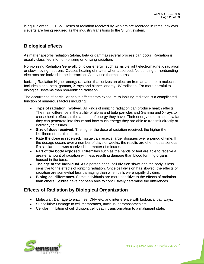is equivalent to 0.01 SV. Doses of radiation received by workers are recorded in rems, however, sieverts are being required as the industry transitions to the SI unit system.

## <span id="page-19-0"></span>**Biological effects**

As matter absorbs radiation (alpha, beta or gamma) several process can occur. Radiation is usually classified into non-ionizing or ionizing radiation.

Non-ionizing Radiation Generally of lower energy, such as visible light electromagnetic radiation or slow moving neutrons. Causes heating of matter when absorbed. No bonding or nonbonding electrons are ionized in the interaction. Can cause thermal burns.

Ionizing Radiation Higher energy radiation that ionizes an electron from an atom or a molecule. Includes alpha, beta, gamma, X-rays and higher- energy UV radiation. Far more harmful to biological systems than non-ionizing radiation.

The occurrence of particular health effects from exposure to ionizing radiation is a complicated function of numerous factors including:

- **Type of radiation involved.** All kinds of ionizing radiation can produce health effects. The main difference in the ability of alpha and beta particles and Gamma and X-rays to cause health effects is the amount of energy they have. Their energy determines how far they can penetrate into tissue and how much energy they are able to transmit directly or indirectly to tissues.
- **Size of dose received.** The higher the dose of radiation received, the higher the likelihood of health effects.
- Rate the dose is received. Tissue can receive larger dosages over a period of time. If the dosage occurs over a number of days or weeks, the results are often not as serious if a similar dose was received in a matter of minutes.
- **Part of the body exposed.** Extremities such as the hands or feet are able to receive a greater amount of radiation with less resulting damage than blood forming organs housed in the torso.
- **The age of the individual.** As a person ages, cell division slows and the body is less sensitive to the effects of ionizing radiation. Once cell division has slowed, the effects of radiation are somewhat less damaging than when cells were rapidly dividing.
- **Biological differences.** Some individuals are more sensitive to the effects of radiation than others. Studies have not been able to conclusively determine the differences.

## <span id="page-19-1"></span>**Effects of Radiation by Biological Organization**

- Molecular: Damage to enzymes, DNA etc. and interference with biological pathways.
- Subcellular: Damage to cell membranes, nucleus, chromosomes etc.
- Cellular Inhibition of cell division, cell death, transformation to a malignant state.

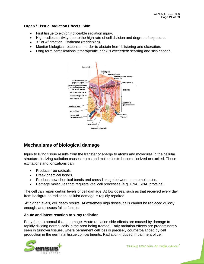#### **Organ / Tissue Radiation Effects: Skin**

- First tissue to exhibit noticeable radiation injury.
- High radiosensitivity due to the high rate of cell division and degree of exposure.
- $\bullet$  3<sup>rd</sup> or 4<sup>th</sup> fraction: Erythema (reddening).
- Monitor biological response in order to abstain from: blistering and ulceration.
- Long term complications if therapeutic index is exceeded: scarring and skin cancer.



## <span id="page-20-0"></span>**Mechanisms of biological damage**

Injury to living tissue results from the transfer of energy to atoms and molecules in the cellular structure. Ionizing radiation causes atoms and molecules to become ionized or excited. These excitations and ionizations can:

- Produce free radicals.
- Break chemical bonds.
- Produce new chemical bonds and cross-linkage between macromolecules.
- Damage molecules that regulate vital cell processes (e.g. DNA, RNA, proteins).

The cell can repair certain levels of cell damage. At low doses, such as that received every day from background radiation, cellular damage is rapidly repaired.

At higher levels, cell death results. At extremely high doses, cells cannot be replaced quickly enough, and tissues fail to function

#### **Acute and latent reaction to x-ray radiation**

Early (acute) normal tissue damage: Acute radiation side effects are caused by damage to rapidly dividing normal cells in the area being treated. Early radiation effects are predominantly seen in turnover tissues, where permanent cell loss is precisely counterbalanced by cell production in the germinal tissue compartments. Radiation-induced impairment of cell

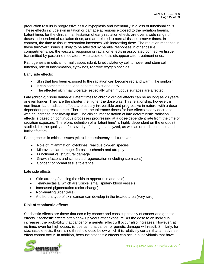production results in progressive tissue hypoplasia and eventually in a loss of functional cells. These effects include skin irritation or damage at regions exposed to the radiation beams. Latent times for the clinical manifestation of early radiation effects are over a wide range of doses independent of radiation dose, and are related to normal tissue turnover times. In contrast, the time to tissue restoration increases with increasing dose. The radiation response in these turnover tissues is likely to be affected by parallel responses in other tissue compartments, i.e. the vascular response or radiation effects in associated connective tissue, transmitted by paracrine mediators. Most acute effects disappear after treatment ends.

Pathogenesis in critical normal tissues (skin), kinetics/latency cell turnover and stem cell function, role of inflammation, cytokines, reactive oxygen species

Early side effects:

- Skin that has been exposed to the radiation can become red and warm, like sunburn.
- It can sometimes peel and become moist and oozy.
- The affected skin may ulcerate, especially when mucous surfaces are affected.

Late (chronic) tissue damage: Latent times to chronic clinical effects can be as long as 20 years or even longer. They are the shorter the higher the dose was. This relationship, however, is non-linear. Late radiation effects are usually irreversible and progressive in nature, with a dosedependent progression rate. Therefore, the tolerance doses for late effects clearly decrease with an increase in follow-up time. The clinical manifestation of late deterministic radiation effects is based on continuous processes progressing at a dose-dependent rate from the time of radiation exposure. Therefore, definition of a "latent time" is highly dependent on the endpoint studied, i.e. the quality and/or severity of changes analyzed, as well as on radiation dose and further factors.

Pathogenesis in critical tissues (skin) kinetics/latency cell turnover:

- Role of inflammation, cytokines, reactive oxygen species
- Microvascular damage, fibrosis, ischemia and atrophy
- Functional vs. structural damage
- Growth factors and stimulated regeneration (including stem cells)
- Concept of normal tissue tolerance

Late side effects:

- Skin atrophy (causing the skin to appear thin and pale)
- Telangiectasia (which are visible, small spidery blood vessels)
- Increased pigmentation (color change)
- Non-healing ulcer (rare)
- A different type of skin cancer can develop in the treated area (very rare)

#### **Risk of stochastic effects**

Stochastic effects are those that occur by chance and consist primarily of cancer and genetic effects. Stochastic effects often show up years after exposure. As the dose to an individual increases, the probability that cancer or a genetic effect will occur also increases. However, at no time, even for high doses, is it certain that cancer or genetic damage will result. Similarly, for stochastic effects, there is no threshold dose below which it is relatively certain that an adverse effect cannot occur. In addition, because stochastic effects can occur in individuals that have

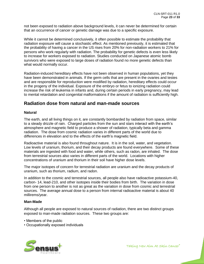not been exposed to radiation above background levels, it can never be determined for certain that an occurrence of cancer or genetic damage was due to a specific exposure.

While it cannot be determined conclusively, it often possible to estimate the probability that radiation exposure will cause a stochastic effect. As mentioned previously, it is estimated that the probability of having a cancer in the US rises from 20% for non-radiation workers to 21% for persons who work regularly with radiation. The probability for genetic defects is even less likely to increase for workers exposed to radiation. Studies conducted on Japanese atomic bomb survivors who were exposed to large doses of radiation found no more genetic defects than what would normally occur.

Radiation-induced hereditary effects have not been observed in human populations, yet they have been demonstrated in animals. If the germ cells that are present in the ovaries and testes and are responsible for reproduction were modified by radiation, hereditary effects could occur in the progeny of the individual. Exposure of the embryo or fetus to ionizing radiation could increase the risk of leukemia in infants and, during certain periods in early pregnancy, may lead to mental retardation and congenital malformations if the amount of radiation is sufficiently high.

### <span id="page-22-0"></span>**Radiation dose from natural and man-made sources**

#### **Natural**

The earth, and all living things on it, are constantly bombarded by radiation from space, similar to a steady drizzle of rain. Charged particles from the sun and stars interact with the earth's atmosphere and magnetic field to produce a shower of radiation, typically beta and gamma radiation. The dose from cosmic radiation varies in different parts of the world due to differences in elevation and to the effects of the earth's magnetic field.

Radioactive material is also found throughout nature. It is in the soil, water, and vegetation. Low levels of uranium, thorium, and their decay products are found everywhere. Some of these materials are ingested with food and water, while others, such as radon, are inhaled. The dose from terrestrial sources also varies in different parts of the world. Locations with higher concentrations of uranium and thorium in their soil have higher dose levels.

The major isotopes of concern for terrestrial radiation are uranium and the decay products of uranium, such as thorium, radium, and radon.

In addition to the cosmic and terrestrial sources, all people also have radioactive potassium-40, carbon- 14, lead-210, and other isotopes inside their bodies from birth. The variation in dose from one person to another is not as great as the variation in dose from cosmic and terrestrial sources. The average annual dose to a person from internal radioactive material is about 40 millirems/year.

#### **Man-Made**

Although all people are exposed to natural sources of radiation, there are two distinct groups exposed to man-made radiation sources. These two groups are:

- Members of the public
- Occupationally exposed individuals

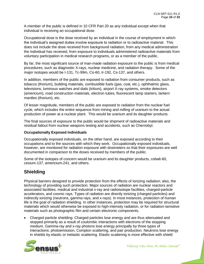A member of the public is defined in 10 CFR Part 20 as any individual except when that individual is receiving an occupational dose.

Occupational dose is the dose received by an individual in the course of employment in which the individual's assigned duties involve exposure to radiation or to radioactive material. This does not include the dose received from background radiation, from any medical administration the individual has received, from exposure to individuals administered radioactive materials from voluntary participation in medical research programs, or as a member of the public.

By far, the most significant source of man-made radiation exposure to the public is from medical procedures, such as diagnostic X-rays, nuclear medicine, and radiation therapy. Some of the major isotopes would be I-131, Tc-99m, Co-60, Ir-192, Cs-137, and others.

In addition, members of the public are exposed to radiation from consumer products, such as tobacco (thorium), building materials, combustible fuels (gas, coal, etc.), ophthalmic glass, televisions, luminous watches and dials (tritium), airport X-ray systems, smoke detectors (americium), road construction materials, electron tubes, fluorescent lamp starters, lantern mantles (thorium), etc.

Of lesser magnitude, members of the public are exposed to radiation from the nuclear fuel cycle, which includes the entire sequence from mining and milling of uranium to the actual production of power at a nuclear plant. This would be uranium and its daughter products.

The final sources of exposure to the public would be shipment of radioactive materials and residual fallout from nuclear weapons testing and accidents, such as Chernobyl.

#### **Occupationally Exposed Individuals**

Occupationally exposed individuals, on the other hand, are exposed according to their occupations and to the sources with which they work. Occupationally exposed individuals, however, are monitored for radiation exposure with dosimeters so that their exposures are well documented in comparison to the doses received by members of the public.

Some of the isotopes of concern would be uranium and its daughter products, cobalt-60, cesium-137, americium-241, and others.

## <span id="page-23-0"></span>**Shielding**

Physical barriers designed to provide protection from the effects of ionizing radiation; also, the technology of providing such protection. Major sources of radiation are nuclear reactors and associated facilities, medical and industrial x-ray and radioisotope facilities, charged-particle accelerators, and cosmic rays. Types of radiation are directly ionizing (charged particles) and indirectly ionizing (neutrons, gamma rays, and x-rays). In most instances, protection of human life is the goal of radiation shielding. In other instances, protection may be required for structural materials which would otherwise be exposed to high-intensity radiation, or for radiation-sensitive materials such as photographic film and certain electronic components.

 Charged particle shielding: Charged particles lose energy and are thus attenuated and stopped primarily as a result of coulombic interactions with electrons of the stopping medium. Gamma-ray and x-ray photons lose energy principally by three types of interactions: photoemission, Compton scattering, and pair production. Neutrons lose energy in shields by elastic or inelastic scattering. Elastic scattering is more effective with shield

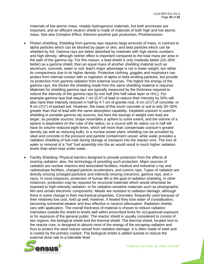materials of low atomic mass, notably hydrogenous materials, but both processes are important, and an efficient neutron shield is made of materials of both high and low atomic mass. See also Compton Effect; Electron-positron pair production; Photoemission.

- Photon shielding: Shielding from gamma rays requires large amounts of mass, in contrast to alpha particles which can be blocked by paper or skin, and beta particles which can be shielded by foil. Gamma rays are better absorbed by materials with high atomic numbers and high density, although neither effect is important compared to the total mass per area in the path of the gamma ray. For this reason, a lead shield is only modestly better (20–30% better) as a gamma shield, than an equal mass of another shielding material such as aluminum, concrete, water or soil; lead's major advantage is not in lower weight, but rather its compactness due to its higher density. Protective clothing, goggles and respirators can protect from internal contact with or ingestion of alpha or beta emitting particles, but provide no protection from gamma radiation from external sources. The higher the energy of the gamma rays, the thicker the shielding made from the same shielding material is required. Materials for shielding gamma rays are typically measured by the thickness required to reduce the intensity of the gamma rays by one half (the half value layer or HVL). For example gamma rays that require 1 cm (0.4″) of lead to reduce their intensity by 50% will also have their intensity reduced in half by 4.1 cm of granite rock, 6 cm (2½″) of concrete, or 9 cm (3½″) of packed soil. However, the mass of this much concrete or soil is only 20–30% greater than that of lead with the same absorption capability. Depleted uranium is used for shielding in portable gamma ray sources, but here the savings in weight over lead are larger, as portable sources' shape resembles a sphere to some extent, and the volume of a sphere is dependent on the cube of the radius; so a source with its radius cut in half will have its volume reduced eight times, which will more than compensate uranium's greater density (as well as reducing bulk). In a nuclear power plant, shielding can be provided by steel and concrete in the pressure and particle containment vessel, while water provides a radiation shielding of fuel rods during storage or transport into the reactor core. The loss of water or removal of a "hot" fuel assembly into the air would result in much higher radiation levels than when kept under water.
- Facility Shielding: Physical barriers designed to provide protection from the effects of ionizing radiation; also, the technology of providing such protection. Major sources of radiation are nuclear reactors and associated facilities, medical and industrial x-ray and radioisotope facilities, charged-particle accelerators, and cosmic rays. Types of radiation are directly ionizing (charged particles) and indirectly ionizing (neutrons, gamma rays, and xrays). In most instances, protection of human life is the goal of radiation shielding. In other instances, protection may be required for structural materials which would otherwise be exposed to high-intensity radiation, or for radiation-sensitive materials such as photographic film and certain electronic components. Metals are resistant to radiation damage, although there is some change in their mechanical properties. Concretes, frequently used because of their relatively low cost, hold up well; however, if heated they lose water of crystallization, becoming somewhat weaker and less effective in neutron attenuation. Radiation shields vary with application. The overall thickness of material is chosen to reduce radiation intensities outside the shield to levels well within prescribed limits for occupational exposure or for exposure of the general public. The reactor shield is usually considered to consist of two regions, the biological shield and the thermal shield. The thermal shield, located next to the reactor core, is designed to absorb most of the energy of the escaping radiation and thus to protect the steel reactor vessel from radiation damage. It is often made of steel and is cooled by the primary coolant. The biological shield is added outside to reduce the external dose rate to a tolerable level.

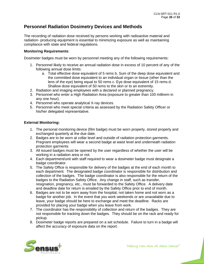## <span id="page-25-0"></span>**Personnel Radiation Dosimetry Devices and Methods**

The recording of radiation dose received by persons working with radioactive material and radiation- producing equipment is essential to minimizing exposure as well as maintaining compliance with state and federal regulations.

#### **Monitoring Requirements**:

Dosimeter badges must be worn by personnel meeting any of the following requirements:

- 1. Personnel likely to receive an annual radiation dose in excess of 10 percent of any of the following annual dose limits:
	- a. Total effective dose equivalent of 5 rems b. Sum of the deep dose equivalent and the committed dose equivalent to an individual organ or tissue (other than the lens of the eye) being equal to 50 rems c. Eye dose equivalent of 15 rems d. Shallow dose equivalent of 50 rems to the skin or to an extremity.
- 2. Radiation and imaging employees with a declared or planned pregnancy.
- 3. Personnel who enter a High Radiation Area (exposure to greater than 100 millirem in any one hour).
- 4. Personnel who operate analytical X-ray devices.
- 5. Personnel who meet special criteria as assessed by the Radiation Safety Officer or his/her delegated representative.

#### **External Monitoring:**

- 1. The personal monitoring device (film badge) must be worn properly, stored properly and exchanged quarterly at the due date.
- 2. Badges are to be worn at collar level and outside of radiation protection garments. Pregnant employees will wear a second badge at waist level and underneath radiation protection garments
- 3. All issued badges must be opened by the user regardless of whether the user will be working in a radiation area or not.
- 4. Each department/unit with staff required to wear a dosimeter badge must designate a badge coordinator.
- 5. The Safety Office is responsible for delivery of the badges at the end of each month to each department. The designated badge coordinator is responsible for distribution and collection of the badges. The badge coordinator is also responsible for the return of the badges to the Radiation Safety Office. Any change in staff, such as transfer, resignation, pregnancy, etc., must be forwarded to the Safety Office. A delivery date and deadline date for return is emailed by the Safety Office prior to end of month.
- 6. Badges are not to be worn away from the hospital, not taken home and not worn as a badge for another job. In the event that you work weekends or are unavailable due to leave, your badge should be here to exchange and meet the deadline. Racks are provided for placing your badge when you leave from work.
- 7. The coordinator has the responsibility of collection and return of the badges. They are not responsible for tracking down the badges. They should be on the rack and ready for pickup.
- 8. Dosimeter badge reports are prepared on a set schedule. Failure to turn in a badge will affect the accuracy of exposure data on the report.

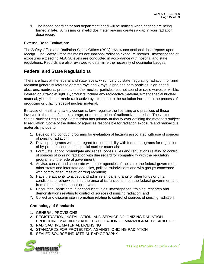9. The badge coordinator and department head will be notified when badges are being turned in late. A missing or invalid dosimeter reading creates a gap in your radiation dose record.

#### **External Dose Evaluation**:

The Safety Office and Radiation Safety Officer (RSO) review occupational dose reports upon receipt. The Safety Office maintains occupational radiation exposure records. Investigations of exposures exceeding ALARA levels are conducted in accordance with hospital and state regulations. Records are also reviewed to determine the necessity of dosimeter badges.

## <span id="page-26-0"></span>**Federal and State Regulations**

There are laws at the federal and state levels, which vary by state, regulating radiation. Ionizing radiation generally refers to gamma rays and x rays; alpha and beta particles, high-speed electrons, neutrons, protons and other nuclear particles; but not sound or radio waves or visible, infrared or ultraviolet light. Byproducts include any radioactive material, except special nuclear material, yielded in, or made radioactive by, exposure to the radiation incident to the process of producing or utilizing special nuclear material.

Because of health and safety concerns, laws regulate the licensing and practices of those involved in the manufacture, storage, or transportation of radioactive materials. The United States Nuclear Regulatory Commission has primary authority over defining the materials subject to regulation. Some of the duties of agencies responsible for radiation exposure and radioactive materials include to:

- 1. Develop and conduct programs for evaluation of hazards associated with use of sources of ionizing radiation;
- 2. Develop programs with due regard for compatibility with federal programs for regulation of by-product, source and special nuclear materials;
- 3. Formulate, adopt, promulgate and repeal codes, rules and regulations relating to control of sources of ionizing radiation with due regard for compatibility with the regulatory programs of the federal government;
- 4. Advise, consult and cooperate with other agencies of the state, the federal government, other states and interstate agencies, political subdivisions and with groups concerned with control of sources of ionizing radiation;
- 5. Have the authority to accept and administer loans, grants or other funds or gifts, conditional or otherwise, in furtherance of its functions, from the federal government and from other sources, public or private;
- 6. Encourage, participate in or conduct studies, investigations, training, research and demonstrations relating to control of sources of ionizing radiation; and
- 7. Collect and disseminate information relating to control of sources of ionizing radiation.

#### **Chronology of Standards**

- 1. GENERAL PROVISIONS
- 2. REGISTRATION, INSTALLATION, AND SERVICE OF IONIZING RADIATION-PRODUCING MACHINES; AND CERTIFICATION OF MAMMOGRAPHY FACILITIES
- 3. RADIOACTIVE MATERIAL LICENSING
- 4. STANDARDS FOR PROTECTION AGAINST IONIZING RADIATION
- 5. SEALED SOURCE INDUSTRIAL RADIOGRAPHY

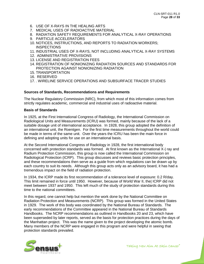- 6. USE OF X-RAYS IN THE HEALING ARTS
- 7. MEDICAL USES OF RADIOACTIVE MATERIAL
- 8. RADIATION SAFETY REQUIREMENTS FOR ANALYTICAL X-RAY OPERATIONS
- 9. PARTICLE ACCELERATORS
- 10. NOTICES, INSTRUCTIONS, AND REPORTS TO RADIATION WORKERS; INSPECTIONS
- 11. INDUSTRIAL USES OF X-RAYS, NOT INCLUDING ANALYTICAL X-RAY SYSTEMS
- 12. ADMINISTRATIVE PROVISIONS
- 13. LICENSE AND REGISTRATION FEES
- 14. REGISTRATION OF NONIONIZING RADIATION SOURCES AND STANDARDS FOR PROTECTION AGAINST NONIONIZING RADIATION
- 15. TRANSPORTATION
- 16. RESERVED
- 17. . WIRELINE SERVICE OPERATIONS AND SUBSURFACE TRACER STUDIES

#### **Sources of Standards, Recommendations and Requirements**

The Nuclear Regulatory Commission (NRC), from which most of this information comes from strictly regulates academic, commercial and industrial uses of radioactive material.

#### **Basis of Standards**

In 1925, at the First International Congress of Radiology, the International Commission on Radiological Units and Measurements (ICRU) was formed, mainly because of the lack of a suitable dosage unit of international acceptance. In 1928, this group adopted the definition of an international unit, the Roentgen. For the first time measurements throughout the world could be made in terms of the same unit. Over the years the ICRU has been the main force in defining and adopting units for use on an international basis.

At the Second International Congress of Radiology in 1928, the first international body concerned with protection standards was formed. At first known as the International X-| ray and Radium Protection Commission, this group is now called the International Commission on Radiological Protection (ICRP). This group discusses and reviews basic protection principles, and these recommendations then serve as a guide from which regulations can be drawn up by each country to suit its needs. Although this group acts only as an advisory board, it has had a tremendous impact on the field of radiation protection.

In 1934, the ICRP made its first recommendation of a tolerance level of exposure: 0.2 R/day. This limit remained in force until 1950. However, because of World War II, the| ICRP did not meet between 1937 and 1950. This left much of the study of protection standards during this time to the national committees.

In this regard, one cannot help but mention the work done by the National Committee on Radiation Protection and Measurements (NCRP). This group was formed in the United States in 1929. The work of this body was coordinated by the National Bureau of Standards. The early recommendations of the Committee appeared in the National Bureau of Standards Handbooks. The NCRP recommendations as outlined in Handbooks 20 and 23, which have been superseded by later reports, served as the basis for protection practices during the days of the Manhattan project. This was the name given to the project developing the atomic bomb. Many members of the NCRP were engaged in this program and were helpful in seeing that protection standards prevailed.

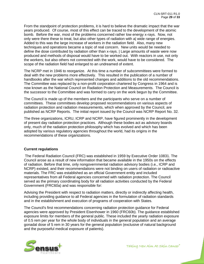From the standpoint of protection problems, it is hard to believe the dramatic impact that the war years produced. Of course, most of this effect can be traced to the development of the atomic bomb. Before the war, most of the problems concerned rather low energy x-rays. Now, not only were there these to treat, but also other types of radiation with a| wide range of energies. Added to this was the large increase of workers in the radiation field. Also, many new techniques and operations became a topic of real concern. New units would be needed to define the dose contributed by radiation other than x-rays. | Large amounts of waste were now produced and methods of disposal would have to be worked out. With reactors in use, not only the workers, but also others not connected with the work, would have to be considered. The scope of the radiation field had enlarged to an undreamed of extent.

The NCRP met in 1946 to reorganize. At this time a number of subcommittees were formed to deal with the new problems more effectively. This resulted in the publication of a number of handbooks after the war which represented changes and additions to the old recommendations. The Committee was replaced by a non-profit corporation chartered by Congress in 1964 and is now known as the National Council on Radiation Protection and Measurements. The Council is the successor to the Committee and was formed to carry on the work begun by the Committee.

The Council is made up of the members and the participants who serve on a number of committees. These committees develop proposed recommendations on various aspects of radiation protection and radiation measurements, which when approved by the Council, are published as NCRP Reports. The initial report issued by the Council was NCRP Report No. 32.

The three organizations, ICRU, ICRP and NCRP, have figured prominently in the development of present day radiation protection practices. Although these bodies act as advisory boards only, much of the radiation protection philosophy which has evolved and which has been adopted by various regulatory agencies throughout the world, had its origins in the recommendations of these organizations.

#### **Current regulations**

The Federal Radiation Council (FRC) was established in 1959 by Executive Order 10831. The Council arose as a result of new information that became available in the 1950s on the effects of radiation. Before that time, only nongovernmental radiation advisory bodies (i.e., ICRP and NCRP) existed, and their recommendations were not binding on users of radiation or radioactive materials. The FRC was established as an official Government entity and included representatives from all Federal agencies concerned with radiation protection. The Council served as the primary coordinating body for all radiation activities conducted by the Federal Government (FRC60a) and was responsible for:

Advising the President with respect to radiation matters, directly or indirectly affecting health, including providing guidance to all Federal agencies in the formulation of radiation standards and in the establishment and execution of programs of cooperation with States.

The Council's first recommendations concerning radiation protection guidance for Federal agencies were approved by President Eisenhower in 1960 (FRC60b). The guidance established exposure limits for members of the general public. These included the yearly radiation exposure of 0.5 rem per year for the whole body of individuals in the general population and an average gonadal dose of 5 rem in 30 years for the general population (exclusive of natural background and the purposeful medical exposure of patients).

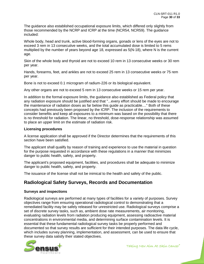The guidance also established occupational exposure limits, which differed only slightly from those recommended by the NCRP and ICRP at the time (NCR54, NCR59). The guidance included:

Whole body, head and trunk, active blood-forming organs, gonads or lens of the eyes are not to exceed 3 rem in 13 consecutive weeks, and the total accumulated dose is limited to 5 rems multiplied by the number of years beyond age 18, expressed as 5(N-18), where N is the current age.

Skin of the whole body and thyroid are not to exceed 10 rem in 13 consecutive weeks or 30 rem per year.

Hands, forearms, feet, and ankles are not to exceed 25 rem in 13 consecutive weeks or 75 rem per year.

Bone is not to exceed 0.1 microgram of radium-226 or its biological equivalent.

Any other organs are not to exceed 5 rem in 13 consecutive weeks or 15 rem per year.

In addition to the formal exposure limits, the guidance also established as Federal policy that any radiation exposure should be justified and that "...every effort should be made to encourage the maintenance of radiation doses as far below this guide as practicable...." Both of these concepts had previously been proposed by the ICRP. The inclusion of the requirements to consider benefits and keep all exposures to a minimum was based on the possibility that there is no threshold for radiation. The linear, no threshold, dose-response relationship was assumed to place an upper limit on the estimate of radiation risk.

#### **Licensing procedures**

A license application shall be approved if the Director determines that the requirements of this section have been satisfied.

The applicant shall qualify by reason of training and experience to use the material in question for the purpose requested in accordance with these regulations in a manner that minimizes danger to public health, safety, and property.

The applicant's proposed equipment, facilities, and procedures shall be adequate to minimize danger to public health, safety, and property.

The issuance of the license shall not be inimical to the health and safety of the public.

## <span id="page-29-0"></span>**Radiological Safety Surveys, Records and Documentation**

#### **Surveys and inspections**

Radiological surveys are performed at many types of facilities for a variety of purposes. Survey objectives range from ensuring operational radiological control to demonstrating that a remediated facility may be safely released for unrestricted use. Radiological surveys comprise a set of discrete survey tasks, such as, ambient dose rate measurements, air monitoring, evaluating radiation levels from radiation producing equipment, assessing radioactive material concentrations in environmental media, and determining surface contamination levels. It is essential that these fundamental radiological survey tasks be properly performed and documented so that survey results are sufficient for their intended purposes. The data life cycle, which includes survey planning, implementation, and assessment, can be used to ensure that these survey data satisfy their stated objectives.

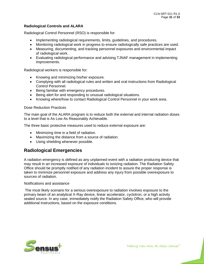#### **Radiological Controls and ALARA**

Radiological Control Personnel (RSO) is responsible for:

- Implementing radiological requirements, limits, guidelines, and procedures.
- Monitoring radiological work in progress to ensure radiologically safe practices are used.
- Measuring, documenting, and tracking personnel exposures and environmental impact of radiological work.
- Evaluating radiological performance and advising TJNAF management in implementing improvements.

Radiological workers is responsible for:

- Knowing and minimizing his/her exposure.
- Complying with all radiological rules and written and oral instructions from Radiological Control Personnel.
- Being familiar with emergency procedures.
- Being alert for and responding to unusual radiological situations.
- Knowing where/how to contact Radiological Control Personnel in your work area.

Dose Reduction Practices

The main goal of the ALARA program is to reduce both the external and internal radiation doses to a level that is As Low As Reasonably Achievable.

The three basic protective measures used to reduce external exposure are:

- Minimizing time in a field of radiation.
- Maximizing the distance from a source of radiation.
- Using shielding whenever possible.

## <span id="page-30-0"></span>**Radiological Emergencies**

A radiation emergency is defined as any unplanned event with a radiation producing device that may result in an increased exposure of individuals to ionizing radiation. The Radiation Safety Office should be promptly notified of any radiation incident to assure the proper response is taken to minimize personnel exposure and address any injury from possible overexposure to sources of radiation.

#### Notifications and assistance

The most likely scenario for a serious overexposure to radiation involves exposure to the primary beam of an analytical X-Ray device, linear accelerator, cyclotron, or a high activity sealed source. In any case, immediately notify the Radiation Safety Office, who will provide additional instructions, based on the exposure conditions.

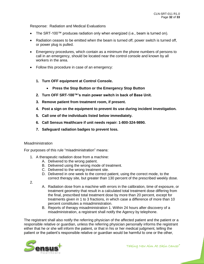Response: Radiation and Medical Evaluations

- The SRT-100™ produces radiation only when energized (i.e., beam is turned on).
- Radiation ceases to be emitted when the beam is turned off, power switch is turned off, or power plug is pulled.
- Emergency procedures, which contain as a minimum the phone numbers of persons to call in an emergency, should be located near the control console and known by all workers in the area.
- Follow this procedure in case of an emergency:
	- **1. Turn OFF equipment at Control Console.**
		- **Press the Stop Button or the Emergency Stop Button**
	- **2. Turn OFF SRT-100™'s main power switch in back of Base Unit.**
	- **3. Remove patient from treatment room, if present.**
	- **4. Post a sign on the equipment to prevent its use during incident investigation.**
	- **5. Call one of the individuals listed below immediately.**
	- **6. Call Sensus Healthcare if unit needs repair: 1-800-324-9890.**
	- **7. Safeguard radiation badges to prevent loss.**

#### **Misadministration**

For purposes of this rule "misadministration" means:

- 1. A therapeutic radiation dose from a machine:
	- A. Delivered to the wrong patient.
	- B. Delivered using the wrong mode of treatment.
	- C. Delivered to the wrong treatment site.
	- D. Delivered in one week to the correct patient, using the correct mode, to the correct therapy site, but greater than 130 percent of the prescribed weekly dose.
- 2.
- A. Radiation dose from a machine with errors in the calibration, time of exposure, or treatment geometry that result in a calculated total treatment dose differing from the final, prescribed total treatment dose by more than 20 percent, except for treatments given in 1 to 3 fractions, in which case a difference of more than 10 percent constitutes a misadministration.
- B. Reports of therapy misadministration 1. Within 24 hours after discovery of a misadministration, a registrant shall notify the Agency by telephone.

The registrant shall also notify the referring physician of the affected patient and the patient or a responsible relative or guardian, unless the referring physician personally informs the registrant either that he or she will inform the patient, or that in his or her medical judgment, telling the patient or the patient's responsible relative or guardian would be harmful to one or the other,